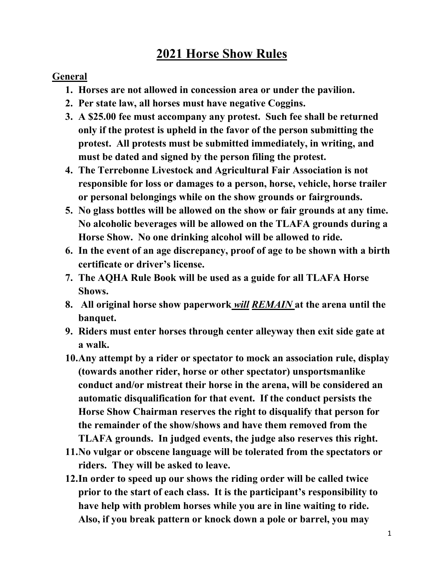## **2021 Horse Show Rules**

#### **General**

- **1. Horses are not allowed in concession area or under the pavilion.**
- **2. Per state law, all horses must have negative Coggins.**
- **3. A \$25.00 fee must accompany any protest. Such fee shall be returned only if the protest is upheld in the favor of the person submitting the protest. All protests must be submitted immediately, in writing, and must be dated and signed by the person filing the protest.**
- **4. The Terrebonne Livestock and Agricultural Fair Association is not responsible for loss or damages to a person, horse, vehicle, horse trailer or personal belongings while on the show grounds or fairgrounds.**
- **5. No glass bottles will be allowed on the show or fair grounds at any time. No alcoholic beverages will be allowed on the TLAFA grounds during a Horse Show. No one drinking alcohol will be allowed to ride.**
- **6. In the event of an age discrepancy, proof of age to be shown with a birth certificate or driver's license.**
- **7. The AQHA Rule Book will be used as a guide for all TLAFA Horse Shows.**
- **8. All original horse show paperwork** *will REMAIN* **at the arena until the banquet.**
- **9. Riders must enter horses through center alleyway then exit side gate at a walk.**
- **10.Any attempt by a rider or spectator to mock an association rule, display (towards another rider, horse or other spectator) unsportsmanlike conduct and/or mistreat their horse in the arena, will be considered an automatic disqualification for that event. If the conduct persists the Horse Show Chairman reserves the right to disqualify that person for the remainder of the show/shows and have them removed from the TLAFA grounds. In judged events, the judge also reserves this right.**
- **11.No vulgar or obscene language will be tolerated from the spectators or riders. They will be asked to leave.**
- **12.In order to speed up our shows the riding order will be called twice prior to the start of each class. It is the participant's responsibility to have help with problem horses while you are in line waiting to ride. Also, if you break pattern or knock down a pole or barrel, you may**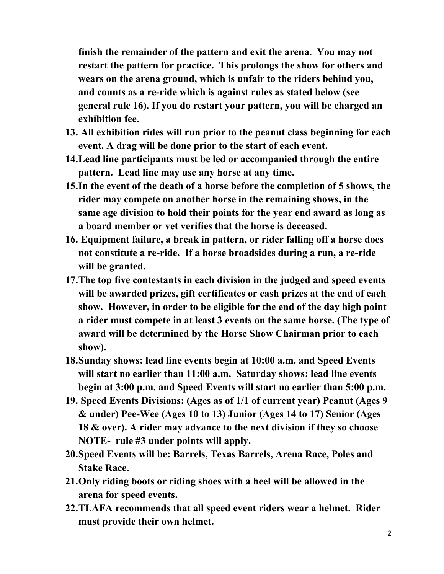**finish the remainder of the pattern and exit the arena. You may not restart the pattern for practice. This prolongs the show for others and wears on the arena ground, which is unfair to the riders behind you, and counts as a re-ride which is against rules as stated below (see general rule 16). If you do restart your pattern, you will be charged an exhibition fee.**

- **13. All exhibition rides will run prior to the peanut class beginning for each event. A drag will be done prior to the start of each event.**
- **14.Lead line participants must be led or accompanied through the entire pattern. Lead line may use any horse at any time.**
- **15.In the event of the death of a horse before the completion of 5 shows, the rider may compete on another horse in the remaining shows, in the same age division to hold their points for the year end award as long as a board member or vet verifies that the horse is deceased.**
- **16. Equipment failure, a break in pattern, or rider falling off a horse does not constitute a re-ride. If a horse broadsides during a run, a re-ride will be granted.**
- **17.The top five contestants in each division in the judged and speed events will be awarded prizes, gift certificates or cash prizes at the end of each show. However, in order to be eligible for the end of the day high point a rider must compete in at least 3 events on the same horse. (The type of award will be determined by the Horse Show Chairman prior to each show).**
- **18.Sunday shows: lead line events begin at 10:00 a.m. and Speed Events will start no earlier than 11:00 a.m. Saturday shows: lead line events begin at 3:00 p.m. and Speed Events will start no earlier than 5:00 p.m.**
- **19. Speed Events Divisions: (Ages as of 1/1 of current year) Peanut (Ages 9 & under) Pee-Wee (Ages 10 to 13) Junior (Ages 14 to 17) Senior (Ages 18 & over). A rider may advance to the next division if they so choose NOTE- rule #3 under points will apply.**
- **20.Speed Events will be: Barrels, Texas Barrels, Arena Race, Poles and Stake Race.**
- **21.Only riding boots or riding shoes with a heel will be allowed in the arena for speed events.**
- **22.TLAFA recommends that all speed event riders wear a helmet. Rider must provide their own helmet.**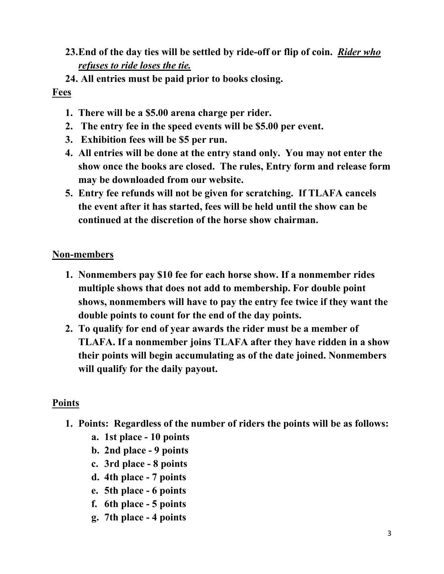### **23.End of the day ties will be settled by ride-off or flip of coin.** *Rider who refuses to ride loses the tie.*

#### **24. All entries must be paid prior to books closing.**

#### **Fees**

- **1. There will be a \$5.00 arena charge per rider.**
- **2. The entry fee in the speed events will be \$5.00 per event.**
- **3. Exhibition fees will be \$5 per run.**
- **4. All entries will be done at the entry stand only. You may not enter the show once the books are closed. The rules, Entry form and release form may be downloaded from our website.**
- **5. Entry fee refunds will not be given for scratching. If TLAFA cancels the event after it has started, fees will be held until the show can be continued at the discretion of the horse show chairman.**

#### **Non-members**

- **1. Nonmembers pay \$10 fee for each horse show. If a nonmember rides multiple shows that does not add to membership. For double point shows, nonmembers will have to pay the entry fee twice if they want the double points to count for the end of the day points.**
- **2. To qualify for end of year awards the rider must be a member of TLAFA. If a nonmember joins TLAFA after they have ridden in a show their points will begin accumulating as of the date joined. Nonmembers will qualify for the daily payout.**

#### **Points**

- **1. Points: Regardless of the number of riders the points will be as follows:**
	- **a. 1st place - 10 points**
	- **b. 2nd place - 9 points**
	- **c. 3rd place - 8 points**
	- **d. 4th place - 7 points**
	- **e. 5th place - 6 points**
	- **f. 6th place - 5 points**
	- **g. 7th place - 4 points**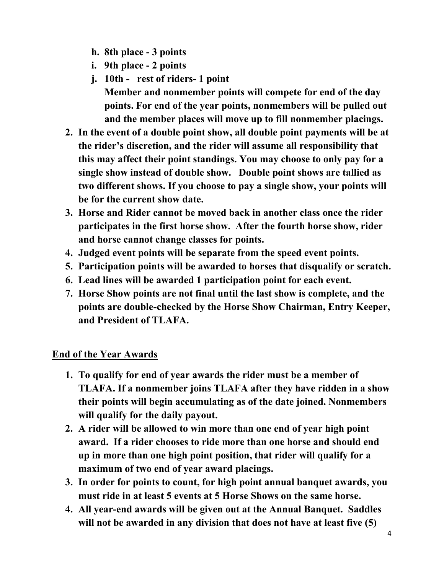- **h. 8th place - 3 points**
- **i. 9th place - 2 points**
- **j. 10th rest of riders- 1 point**
- **Member and nonmember points will compete for end of the day points. For end of the year points, nonmembers will be pulled out and the member places will move up to fill nonmember placings.**
- **2. In the event of a double point show, all double point payments will be at the rider's discretion, and the rider will assume all responsibility that this may affect their point standings. You may choose to only pay for a single show instead of double show. Double point shows are tallied as two different shows. If you choose to pay a single show, your points will be for the current show date.**
- **3. Horse and Rider cannot be moved back in another class once the rider participates in the first horse show. After the fourth horse show, rider and horse cannot change classes for points.**
- **4. Judged event points will be separate from the speed event points.**
- **5. Participation points will be awarded to horses that disqualify or scratch.**
- **6. Lead lines will be awarded 1 participation point for each event.**
- **7. Horse Show points are not final until the last show is complete, and the points are double-checked by the Horse Show Chairman, Entry Keeper, and President of TLAFA.**

#### **End of the Year Awards**

- **1. To qualify for end of year awards the rider must be a member of TLAFA. If a nonmember joins TLAFA after they have ridden in a show their points will begin accumulating as of the date joined. Nonmembers will qualify for the daily payout.**
- **2. A rider will be allowed to win more than one end of year high point award. If a rider chooses to ride more than one horse and should end up in more than one high point position, that rider will qualify for a maximum of two end of year award placings.**
- **3. In order for points to count, for high point annual banquet awards, you must ride in at least 5 events at 5 Horse Shows on the same horse.**
- **4. All year-end awards will be given out at the Annual Banquet. Saddles will not be awarded in any division that does not have at least five (5)**